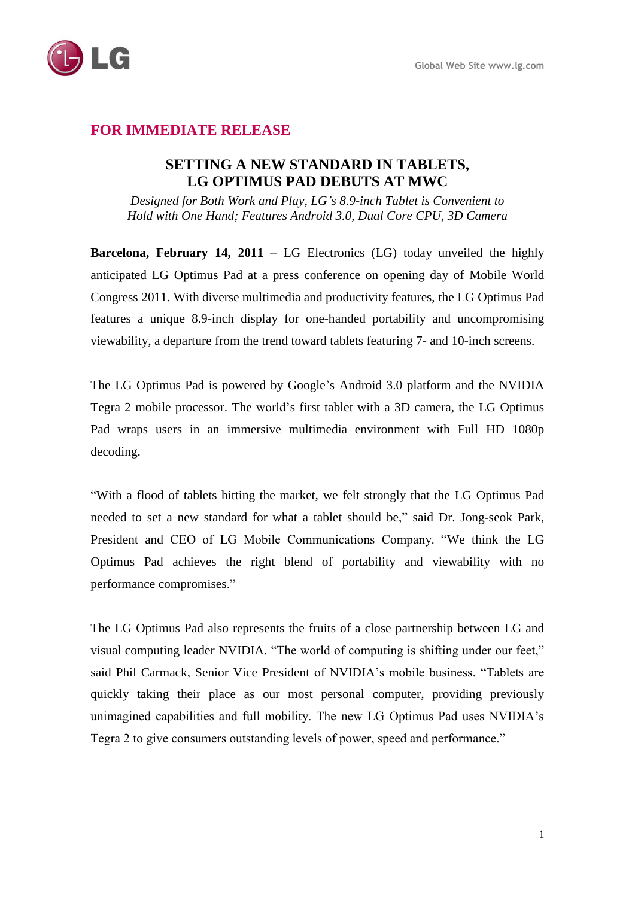

# **FOR IMMEDIATE RELEASE**

## **SETTING A NEW STANDARD IN TABLETS, LG OPTIMUS PAD DEBUTS AT MWC**

*Designed for Both Work and Play, LG's 8.9-inch Tablet is Convenient to Hold with One Hand; Features Android 3.0, Dual Core CPU, 3D Camera*

**Barcelona, February 14, 2011** – LG Electronics (LG) today unveiled the highly anticipated LG Optimus Pad at a press conference on opening day of Mobile World Congress 2011. With diverse multimedia and productivity features, the LG Optimus Pad features a unique 8.9-inch display for one-handed portability and uncompromising viewability, a departure from the trend toward tablets featuring 7- and 10-inch screens.

The LG Optimus Pad is powered by Google's Android 3.0 platform and the NVIDIA Tegra 2 mobile processor. The world's first tablet with a 3D camera, the LG Optimus Pad wraps users in an immersive multimedia environment with Full HD 1080p decoding.

"With a flood of tablets hitting the market, we felt strongly that the LG Optimus Pad needed to set a new standard for what a tablet should be," said Dr. Jong-seok Park, President and CEO of LG Mobile Communications Company. "We think the LG Optimus Pad achieves the right blend of portability and viewability with no performance compromises."

The LG Optimus Pad also represents the fruits of a close partnership between LG and visual computing leader NVIDIA. "The world of computing is shifting under our feet," said Phil Carmack, Senior Vice President of NVIDIA's mobile business. "Tablets are quickly taking their place as our most personal computer, providing previously unimagined capabilities and full mobility. The new LG Optimus Pad uses NVIDIA's Tegra 2 to give consumers outstanding levels of power, speed and performance."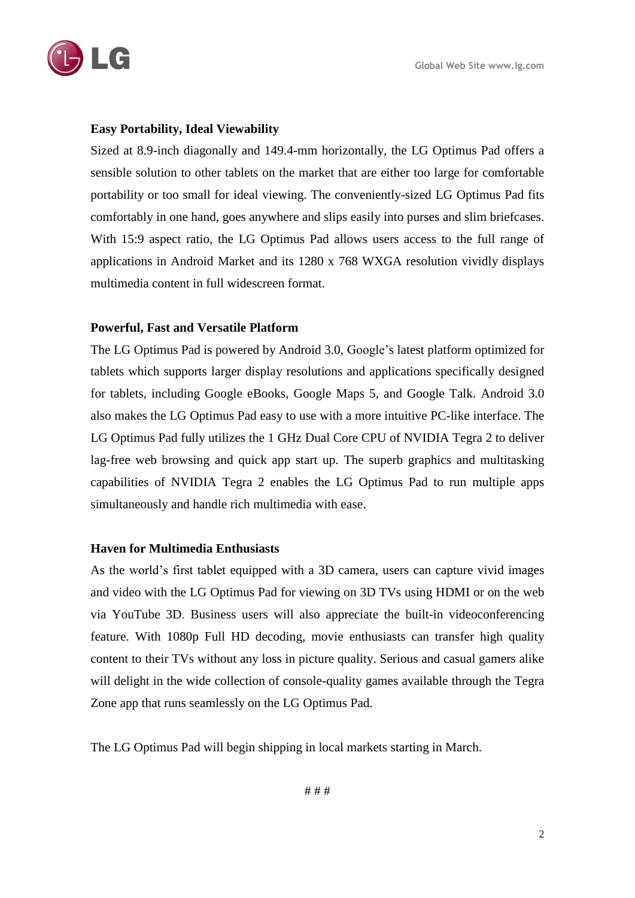

### **Easy Portability, Ideal Viewability**

Sized at 8.9-inch diagonally and 149.4-mm horizontally, the LG Optimus Pad offers a sensible solution to other tablets on the market that are either too large for comfortable portability or too small for ideal viewing. The conveniently-sized LG Optimus Pad fits comfortably in one hand, goes anywhere and slips easily into purses and slim briefcases. With 15:9 aspect ratio, the LG Optimus Pad allows users access to the full range of applications in Android Market and its 1280 x 768 WXGA resolution vividly displays multimedia content in full widescreen format.

### **Powerful, Fast and Versatile Platform**

The LG Optimus Pad is powered by Android 3.0, Google's latest platform optimized for tablets which supports larger display resolutions and applications specifically designed for tablets, including Google eBooks, Google Maps 5, and Google Talk. Android 3.0 also makes the LG Optimus Pad easy to use with a more intuitive PC-like interface. The LG Optimus Pad fully utilizes the 1 GHz Dual Core CPU of NVIDIA Tegra 2 to deliver lag-free web browsing and quick app start up. The superb graphics and multitasking capabilities of NVIDIA Tegra 2 enables the LG Optimus Pad to run multiple apps simultaneously and handle rich multimedia with ease.

#### **Haven for Multimedia Enthusiasts**

As the world's first tablet equipped with a 3D camera, users can capture vivid images and video with the LG Optimus Pad for viewing on 3D TVs using HDMI or on the web via YouTube 3D. Business users will also appreciate the built-in videoconferencing feature. With 1080p Full HD decoding, movie enthusiasts can transfer high quality content to their TVs without any loss in picture quality. Serious and casual gamers alike will delight in the wide collection of console-quality games available through the Tegra Zone app that runs seamlessly on the LG Optimus Pad.

The LG Optimus Pad will begin shipping in local markets starting in March.